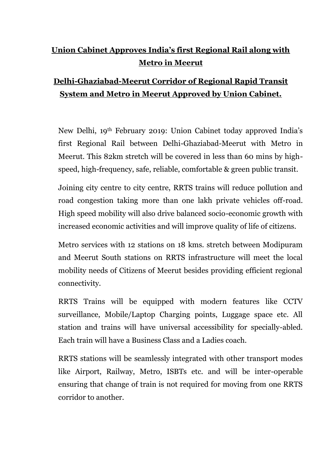## **Union Cabinet Approves India's first Regional Rail along with Metro in Meerut**

## **Delhi-Ghaziabad-Meerut Corridor of Regional Rapid Transit System and Metro in Meerut Approved by Union Cabinet.**

New Delhi, 19th February 2019: Union Cabinet today approved India's first Regional Rail between Delhi-Ghaziabad-Meerut with Metro in Meerut. This 82km stretch will be covered in less than 60 mins by highspeed, high-frequency, safe, reliable, comfortable & green public transit.

Joining city centre to city centre, RRTS trains will reduce pollution and road congestion taking more than one lakh private vehicles off-road. High speed mobility will also drive balanced socio-economic growth with increased economic activities and will improve quality of life of citizens.

Metro services with 12 stations on 18 kms. stretch between Modipuram and Meerut South stations on RRTS infrastructure will meet the local mobility needs of Citizens of Meerut besides providing efficient regional connectivity.

RRTS Trains will be equipped with modern features like CCTV surveillance, Mobile/Laptop Charging points, Luggage space etc. All station and trains will have universal accessibility for specially-abled. Each train will have a Business Class and a Ladies coach.

RRTS stations will be seamlessly integrated with other transport modes like Airport, Railway, Metro, ISBTs etc. and will be inter-operable ensuring that change of train is not required for moving from one RRTS corridor to another.